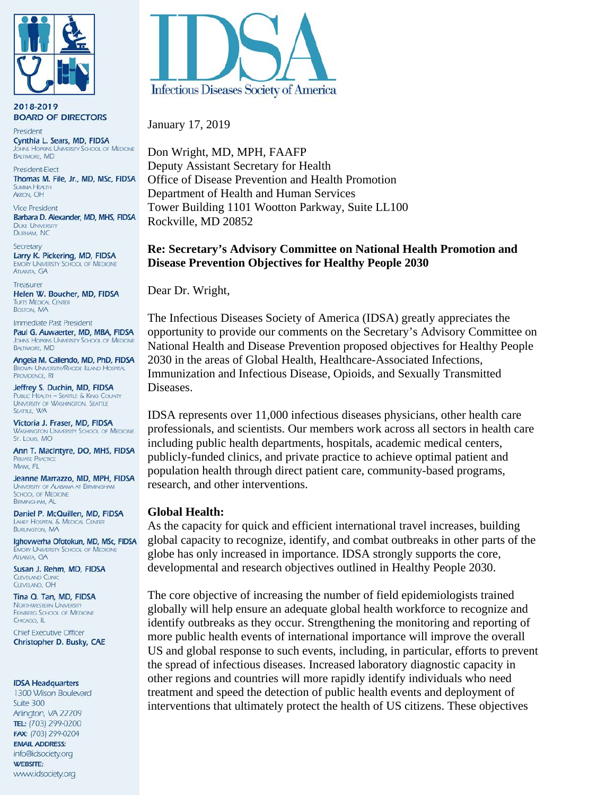

2018-2019 **BOARD OF DIRECTORS** 

President Cynthia L. Sears, MD, FIDSA **OHINS HOPKINS UNIVERSITY SCHOOL OF MEDICINE BALTIMORE, MD** 

President-Elect Thomas M. File, Jr., MD, MSc, FIDSA SLIMMAA HEALTH **AKRON, OH** 

**Vice President** Barbara D. Alexander, MD, MHS, FIDSA **DUKE UNIVERSITY** DURHAM, NC

Secretary Larry K. Pickering, MD, FIDSA **EMORY UNIVERSITY SCHOOL OF MEDICINE ATLANTA GA** 

Treasurer Helen W. Boucher, MD, FIDSA **TUFTS MEDICAL CENTER BOSTON, MA** 

Immediate Past President Paul G. Auwaerter, MD, MBA, FIDSA JOHNS HOPKINS UNIVERSITY SCHOOL OF MEDICINE **BALTIMORE, MD** 

Angela M. Caliendo, MD, PhD, FIDSA **BROWN UNIVERSITY/RHODE ISLAND HOSPITAL** PROVIDENCE. RI

Jeffrey S. Duchin, MD, FIDSA **PUBLIC HEALTH - SEATTLE & KING COUNTY** UNIVERSITY OF WASHINGTON, SEATTLE SEATTLE, WA

Victoria J. Fraser, MD, FIDSA **WASHINGTON UNIVERSITY SCHOOL OF MEDICINE** St. Louis, MO

Ann T. MacIntyre, DO, MHS, FIDSA **PRIVATE PRACTICE** MIAMI, FL

Jeanne Marrazzo, MD, MPH, FIDSA UNIVERSITY OF ALABAMA AT BIRMINGHAM **SCHOOL OF MEDICINE BIRMINGHAM, AL** 

Daniel P. McQuillen, MD, FIDSA LAHEY HOSPITAL & MEDICAL CENTER **BURLINGTON, MA** 

Ighovwerha Ofotokun, MD, MSc, FIDSA **EMORY UNIVERSITY SCHOOL OF MEDICINE ATLANTA GA** 

Susan J. Rehm, MD, FIDSA **CLEVELAND CLINK** CIFVELAND OH

Tina Q. Tan, MD, FIDSA **NORTHWESTERN UNIVERSITY** FEINBERG SCHOOL OF MEDICINE CHICAGO, IL

**Chief Executive Officer** Christopher D. Busky, CAE

#### **IDSA Headquarters**

1300 Wilson Boulevard Suite 300 Arlington, VA 22209 TEL: (703) 299-0200 FAX: (703) 299-0204 **EMAIL ADDRESS:** info@idsociety.org **WEBSITE:** www.idsociety.org



January 17, 2019

Don Wright, MD, MPH, FAAFP Deputy Assistant Secretary for Health Office of Disease Prevention and Health Promotion Department of Health and Human Services Tower Building 1101 Wootton Parkway, Suite LL100 Rockville, MD 20852

# **Re: Secretary's Advisory Committee on National Health Promotion and Disease Prevention Objectives for Healthy People 2030**

Dear Dr. Wright,

The Infectious Diseases Society of America (IDSA) greatly appreciates the opportunity to provide our comments on the Secretary's Advisory Committee on National Health and Disease Prevention proposed objectives for Healthy People 2030 in the areas of Global Health, Healthcare-Associated Infections, Immunization and Infectious Disease, Opioids, and Sexually Transmitted Diseases.

IDSA represents over 11,000 infectious diseases physicians, other health care professionals, and scientists. Our members work across all sectors in health care including public health departments, hospitals, academic medical centers, publicly-funded clinics, and private practice to achieve optimal patient and population health through direct patient care, community-based programs, research, and other interventions.

#### **Global Health:**

As the capacity for quick and efficient international travel increases, building global capacity to recognize, identify, and combat outbreaks in other parts of the globe has only increased in importance. IDSA strongly supports the core, developmental and research objectives outlined in Healthy People 2030.

The core objective of increasing the number of field epidemiologists trained globally will help ensure an adequate global health workforce to recognize and identify outbreaks as they occur. Strengthening the monitoring and reporting of more public health events of international importance will improve the overall US and global response to such events, including, in particular, efforts to prevent the spread of infectious diseases. Increased laboratory diagnostic capacity in other regions and countries will more rapidly identify individuals who need treatment and speed the detection of public health events and deployment of interventions that ultimately protect the health of US citizens. These objectives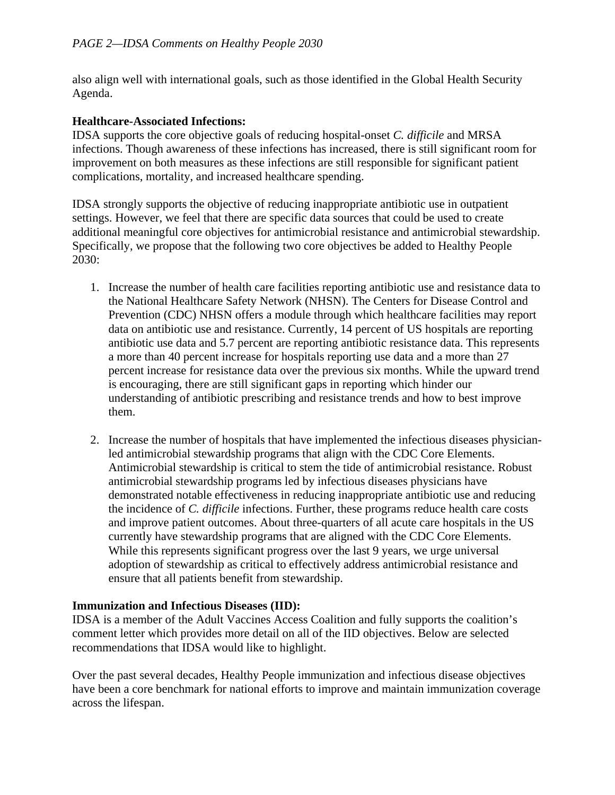also align well with international goals, such as those identified in the Global Health Security Agenda.

# **Healthcare-Associated Infections:**

IDSA supports the core objective goals of reducing hospital-onset *C. difficile* and MRSA infections. Though awareness of these infections has increased, there is still significant room for improvement on both measures as these infections are still responsible for significant patient complications, mortality, and increased healthcare spending.

IDSA strongly supports the objective of reducing inappropriate antibiotic use in outpatient settings. However, we feel that there are specific data sources that could be used to create additional meaningful core objectives for antimicrobial resistance and antimicrobial stewardship. Specifically, we propose that the following two core objectives be added to Healthy People 2030:

- 1. Increase the number of health care facilities reporting antibiotic use and resistance data to the National Healthcare Safety Network (NHSN). The Centers for Disease Control and Prevention (CDC) NHSN offers a module through which healthcare facilities may report data on antibiotic use and resistance. Currently, 14 percent of US hospitals are reporting antibiotic use data and 5.7 percent are reporting antibiotic resistance data. This represents a more than 40 percent increase for hospitals reporting use data and a more than 27 percent increase for resistance data over the previous six months. While the upward trend is encouraging, there are still significant gaps in reporting which hinder our understanding of antibiotic prescribing and resistance trends and how to best improve them.
- 2. Increase the number of hospitals that have implemented the infectious diseases physicianled antimicrobial stewardship programs that align with the CDC Core Elements. Antimicrobial stewardship is critical to stem the tide of antimicrobial resistance. Robust antimicrobial stewardship programs led by infectious diseases physicians have demonstrated notable effectiveness in reducing inappropriate antibiotic use and reducing the incidence of *C. difficile* infections. Further, these programs reduce health care costs and improve patient outcomes. About three-quarters of all acute care hospitals in the US currently have stewardship programs that are aligned with the CDC Core Elements. While this represents significant progress over the last 9 years, we urge universal adoption of stewardship as critical to effectively address antimicrobial resistance and ensure that all patients benefit from stewardship.

## **Immunization and Infectious Diseases (IID):**

IDSA is a member of the Adult Vaccines Access Coalition and fully supports the coalition's comment letter which provides more detail on all of the IID objectives. Below are selected recommendations that IDSA would like to highlight.

Over the past several decades, Healthy People immunization and infectious disease objectives have been a core benchmark for national efforts to improve and maintain immunization coverage across the lifespan.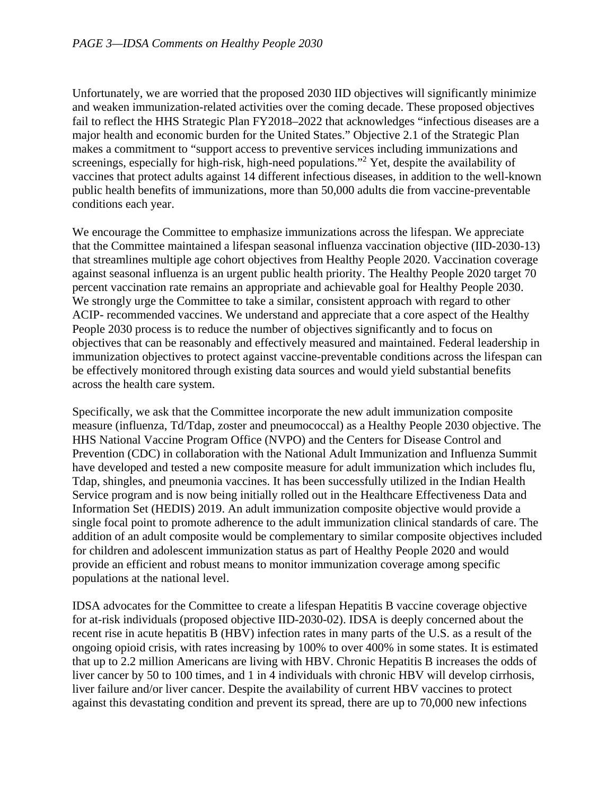Unfortunately, we are worried that the proposed 2030 IID objectives will significantly minimize and weaken immunization-related activities over the coming decade. These proposed objectives fail to reflect the HHS Strategic Plan FY2018–2022 that acknowledges "infectious diseases are a major health and economic burden for the United States." Objective 2.1 of the Strategic Plan makes a commitment to "support access to preventive services including immunizations and screenings, especially for high-risk, high-need populations."<sup>2</sup> Yet, despite the availability of vaccines that protect adults against 14 different infectious diseases, in addition to the well-known public health benefits of immunizations, more than 50,000 adults die from vaccine-preventable conditions each year.

We encourage the Committee to emphasize immunizations across the lifespan. We appreciate that the Committee maintained a lifespan seasonal influenza vaccination objective (IID-2030-13) that streamlines multiple age cohort objectives from Healthy People 2020. Vaccination coverage against seasonal influenza is an urgent public health priority. The Healthy People 2020 target 70 percent vaccination rate remains an appropriate and achievable goal for Healthy People 2030. We strongly urge the Committee to take a similar, consistent approach with regard to other ACIP- recommended vaccines. We understand and appreciate that a core aspect of the Healthy People 2030 process is to reduce the number of objectives significantly and to focus on objectives that can be reasonably and effectively measured and maintained. Federal leadership in immunization objectives to protect against vaccine-preventable conditions across the lifespan can be effectively monitored through existing data sources and would yield substantial benefits across the health care system.

Specifically, we ask that the Committee incorporate the new adult immunization composite measure (influenza, Td/Tdap, zoster and pneumococcal) as a Healthy People 2030 objective. The HHS National Vaccine Program Office (NVPO) and the Centers for Disease Control and Prevention (CDC) in collaboration with the National Adult Immunization and Influenza Summit have developed and tested a new composite measure for adult immunization which includes flu, Tdap, shingles, and pneumonia vaccines. It has been successfully utilized in the Indian Health Service program and is now being initially rolled out in the Healthcare Effectiveness Data and Information Set (HEDIS) 2019. An adult immunization composite objective would provide a single focal point to promote adherence to the adult immunization clinical standards of care. The addition of an adult composite would be complementary to similar composite objectives included for children and adolescent immunization status as part of Healthy People 2020 and would provide an efficient and robust means to monitor immunization coverage among specific populations at the national level.

IDSA advocates for the Committee to create a lifespan Hepatitis B vaccine coverage objective for at-risk individuals (proposed objective IID-2030-02). IDSA is deeply concerned about the recent rise in acute hepatitis B (HBV) infection rates in many parts of the U.S. as a result of the ongoing opioid crisis, with rates increasing by 100% to over 400% in some states. It is estimated that up to 2.2 million Americans are living with HBV. Chronic Hepatitis B increases the odds of liver cancer by 50 to 100 times, and 1 in 4 individuals with chronic HBV will develop cirrhosis, liver failure and/or liver cancer. Despite the availability of current HBV vaccines to protect against this devastating condition and prevent its spread, there are up to 70,000 new infections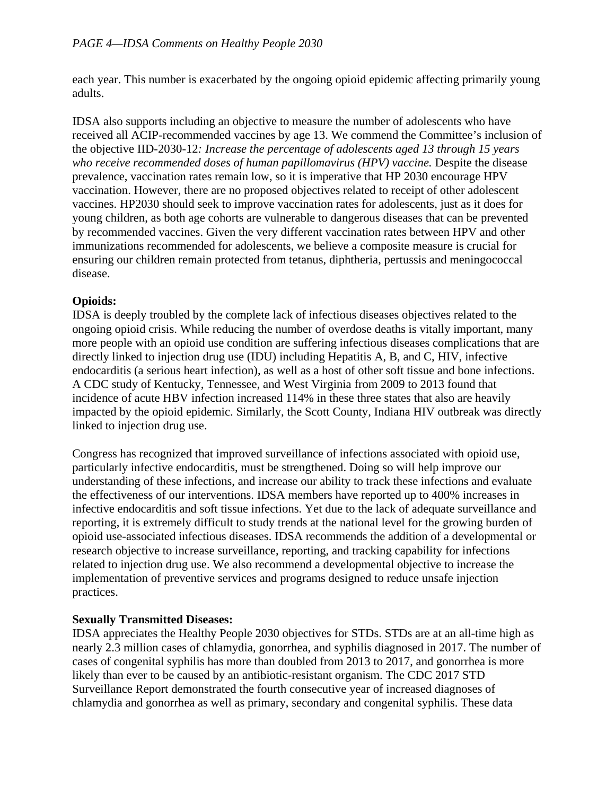each year. This number is exacerbated by the ongoing opioid epidemic affecting primarily young adults.

IDSA also supports including an objective to measure the number of adolescents who have received all ACIP-recommended vaccines by age 13. We commend the Committee's inclusion of the objective IID-2030-12*: Increase the percentage of adolescents aged 13 through 15 years who receive recommended doses of human papillomavirus (HPV) vaccine.* Despite the disease prevalence, vaccination rates remain low, so it is imperative that HP 2030 encourage HPV vaccination. However, there are no proposed objectives related to receipt of other adolescent vaccines. HP2030 should seek to improve vaccination rates for adolescents, just as it does for young children, as both age cohorts are vulnerable to dangerous diseases that can be prevented by recommended vaccines. Given the very different vaccination rates between HPV and other immunizations recommended for adolescents, we believe a composite measure is crucial for ensuring our children remain protected from tetanus, diphtheria, pertussis and meningococcal disease.

# **Opioids:**

IDSA is deeply troubled by the complete lack of infectious diseases objectives related to the ongoing opioid crisis. While reducing the number of overdose deaths is vitally important, many more people with an opioid use condition are suffering infectious diseases complications that are directly linked to injection drug use (IDU) including Hepatitis A, B, and C, HIV, infective endocarditis (a serious heart infection), as well as a host of other soft tissue and bone infections. A CDC study of Kentucky, Tennessee, and West Virginia from 2009 to 2013 found that incidence of acute HBV infection increased 114% in these three states that also are heavily impacted by the opioid epidemic. Similarly, the Scott County, Indiana HIV outbreak was directly linked to injection drug use.

Congress has recognized that improved surveillance of infections associated with opioid use, particularly infective endocarditis, must be strengthened. Doing so will help improve our understanding of these infections, and increase our ability to track these infections and evaluate the effectiveness of our interventions. IDSA members have reported up to 400% increases in infective endocarditis and soft tissue infections. Yet due to the lack of adequate surveillance and reporting, it is extremely difficult to study trends at the national level for the growing burden of opioid use-associated infectious diseases. IDSA recommends the addition of a developmental or research objective to increase surveillance, reporting, and tracking capability for infections related to injection drug use. We also recommend a developmental objective to increase the implementation of preventive services and programs designed to reduce unsafe injection practices.

## **Sexually Transmitted Diseases:**

IDSA appreciates the Healthy People 2030 objectives for STDs. STDs are at an all-time high as nearly 2.3 million cases of chlamydia, gonorrhea, and syphilis diagnosed in 2017. The number of cases of congenital syphilis has more than doubled from 2013 to 2017, and gonorrhea is more likely than ever to be caused by an antibiotic-resistant organism. The CDC 2017 STD Surveillance Report demonstrated the fourth consecutive year of increased diagnoses of chlamydia and gonorrhea as well as primary, secondary and congenital syphilis. These data